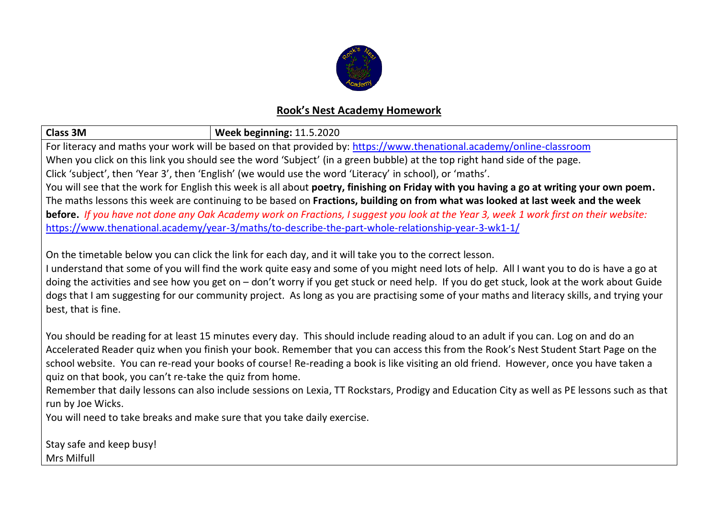

## **Rook's Nest Academy Homework**

| <b>Class 3M</b>                                                                                                                             | Week beginning: 11.5.2020 |  |  |  |
|---------------------------------------------------------------------------------------------------------------------------------------------|---------------------------|--|--|--|
| For literacy and maths your work will be based on that provided by: https://www.thenational.academy/online-classroom                        |                           |  |  |  |
| When you click on this link you should see the word 'Subject' (in a green bubble) at the top right hand side of the page.                   |                           |  |  |  |
| Click 'subject', then 'Year 3', then 'English' (we would use the word 'Literacy' in school), or 'maths'.                                    |                           |  |  |  |
| You will see that the work for English this week is all about poetry, finishing on Friday with you having a go at writing your own poem.    |                           |  |  |  |
| The maths lessons this week are continuing to be based on Fractions, building on from what was looked at last week and the week             |                           |  |  |  |
| before. If you have not done any Oak Academy work on Fractions, I suggest you look at the Year 3, week 1 work first on their website:       |                           |  |  |  |
| https://www.thenational.academy/year-3/maths/to-describe-the-part-whole-relationship-year-3-wk1-1/                                          |                           |  |  |  |
|                                                                                                                                             |                           |  |  |  |
| On the timetable below you can click the link for each day, and it will take you to the correct lesson.                                     |                           |  |  |  |
| I understand that some of you will find the work quite easy and some of you might need lots of help. All I want you to do is have a go at   |                           |  |  |  |
| doing the activities and see how you get on - don't worry if you get stuck or need help. If you do get stuck, look at the work about Guide  |                           |  |  |  |
| dogs that I am suggesting for our community project. As long as you are practising some of your maths and literacy skills, and trying your  |                           |  |  |  |
| best, that is fine.                                                                                                                         |                           |  |  |  |
|                                                                                                                                             |                           |  |  |  |
| You should be reading for at least 15 minutes every day. This should include reading aloud to an adult if you can. Log on and do an         |                           |  |  |  |
| Accelerated Reader quiz when you finish your book. Remember that you can access this from the Rook's Nest Student Start Page on the         |                           |  |  |  |
| school website. You can re-read your books of course! Re-reading a book is like visiting an old friend. However, once you have taken a      |                           |  |  |  |
| quiz on that book, you can't re-take the quiz from home.                                                                                    |                           |  |  |  |
| Remember that daily lessons can also include sessions on Lexia, TT Rockstars, Prodigy and Education City as well as PE lessons such as that |                           |  |  |  |
| run by Joe Wicks.                                                                                                                           |                           |  |  |  |
| You will need to take breaks and make sure that you take daily exercise.                                                                    |                           |  |  |  |
|                                                                                                                                             |                           |  |  |  |
| Stay safe and keep busy!                                                                                                                    |                           |  |  |  |
| Mrs Milfull                                                                                                                                 |                           |  |  |  |